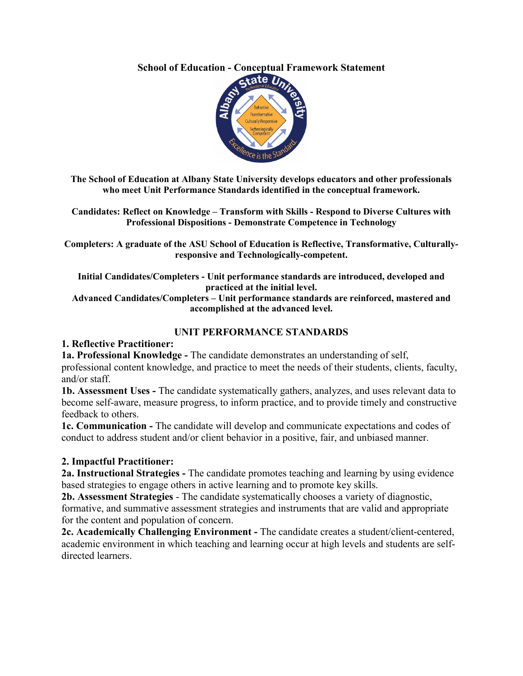# **School of Education - Conceptual Framework Statement**



**The School of Education at Albany State University develops educators and other professionals who meet Unit Performance Standards identified in the conceptual framework.** 

**Candidates: Reflect on Knowledge – Transform with Skills - Respond to Diverse Cultures with Professional Dispositions - Demonstrate Competence in Technology**

**Completers: A graduate of the ASU School of Education is Reflective, Transformative, Culturallyresponsive and Technologically-competent.** 

**Initial Candidates/Completers - Unit performance standards are introduced, developed and practiced at the initial level.**

**Advanced Candidates/Completers – Unit performance standards are reinforced, mastered and accomplished at the advanced level.**

### **UNIT PERFORMANCE STANDARDS**

### **1. Reflective Practitioner:**

**1a. Professional Knowledge -** The candidate demonstrates an understanding of self, professional content knowledge, and practice to meet the needs of their students, clients, faculty, and/or staff.

**1b. Assessment Uses -** The candidate systematically gathers, analyzes, and uses relevant data to become self-aware, measure progress, to inform practice, and to provide timely and constructive feedback to others.

**1c. Communication -** The candidate will develop and communicate expectations and codes of conduct to address student and/or client behavior in a positive, fair, and unbiased manner.

# **2. Impactful Practitioner:**

**2a. Instructional Strategies -** The candidate promotes teaching and learning by using evidence based strategies to engage others in active learning and to promote key skills.

**2b. Assessment Strategies** - The candidate systematically chooses a variety of diagnostic, formative, and summative assessment strategies and instruments that are valid and appropriate for the content and population of concern.

**2c. Academically Challenging Environment -** The candidate creates a student/client-centered, academic environment in which teaching and learning occur at high levels and students are selfdirected learners.